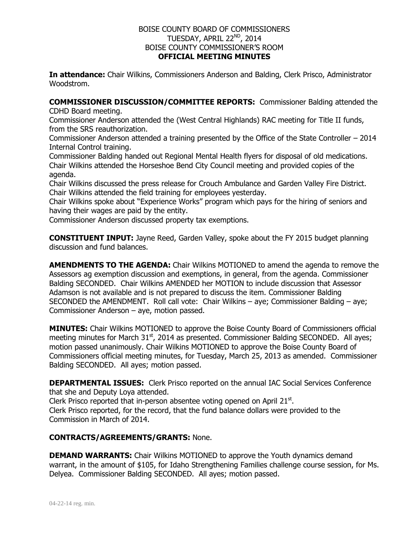## BOISE COUNTY BOARD OF COMMISSIONERS TUESDAY, APRIL 22<sup>nd</sup>, 2014 BOISE COUNTY COMMISSIONER'S ROOM **OFFICIAL MEETING MINUTES**

**In attendance:** Chair Wilkins, Commissioners Anderson and Balding, Clerk Prisco, Administrator Woodstrom.

**COMMISSIONER DISCUSSION/COMMITTEE REPORTS:** Commissioner Balding attended the CDHD Board meeting.

Commissioner Anderson attended the (West Central Highlands) RAC meeting for Title II funds, from the SRS reauthorization.

Commissioner Anderson attended a training presented by the Office of the State Controller – 2014 Internal Control training.

Commissioner Balding handed out Regional Mental Health flyers for disposal of old medications. Chair Wilkins attended the Horseshoe Bend City Council meeting and provided copies of the agenda.

Chair Wilkins discussed the press release for Crouch Ambulance and Garden Valley Fire District. Chair Wilkins attended the field training for employees yesterday.

Chair Wilkins spoke about "Experience Works" program which pays for the hiring of seniors and having their wages are paid by the entity.

Commissioner Anderson discussed property tax exemptions.

**CONSTITUENT INPUT:** Jayne Reed, Garden Valley, spoke about the FY 2015 budget planning discussion and fund balances.

**AMENDMENTS TO THE AGENDA:** Chair Wilkins MOTIONED to amend the agenda to remove the Assessors ag exemption discussion and exemptions, in general, from the agenda. Commissioner Balding SECONDED. Chair Wilkins AMENDED her MOTION to include discussion that Assessor Adamson is not available and is not prepared to discuss the item. Commissioner Balding SECONDED the AMENDMENT. Roll call vote: Chair Wilkins – aye; Commissioner Balding – aye; Commissioner Anderson – aye, motion passed.

**MINUTES:** Chair Wilkins MOTIONED to approve the Boise County Board of Commissioners official meeting minutes for March 31<sup>st</sup>, 2014 as presented. Commissioner Balding SECONDED. All ayes; motion passed unanimously. Chair Wilkins MOTIONED to approve the Boise County Board of Commissioners official meeting minutes, for Tuesday, March 25, 2013 as amended. Commissioner Balding SECONDED. All ayes; motion passed.

**DEPARTMENTAL ISSUES:** Clerk Prisco reported on the annual IAC Social Services Conference that she and Deputy Loya attended.

Clerk Prisco reported that in-person absentee voting opened on April 21 $^{\rm st}$ . Clerk Prisco reported, for the record, that the fund balance dollars were provided to the Commission in March of 2014.

## **CONTRACTS/AGREEMENTS/GRANTS:** None.

**DEMAND WARRANTS:** Chair Wilkins MOTIONED to approve the Youth dynamics demand warrant, in the amount of \$105, for Idaho Strengthening Families challenge course session, for Ms. Delyea. Commissioner Balding SECONDED. All ayes; motion passed.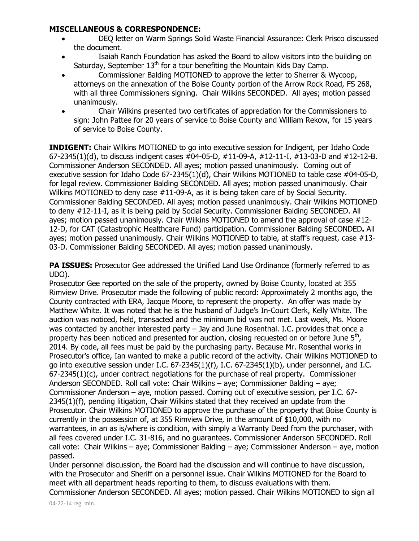## **MISCELLANEOUS & CORRESPONDENCE:**

- DEQ letter on Warm Springs Solid Waste Financial Assurance: Clerk Prisco discussed the document.
- Isaiah Ranch Foundation has asked the Board to allow visitors into the building on Saturday, September  $13<sup>th</sup>$  for a tour benefiting the Mountain Kids Day Camp.
- Commissioner Balding MOTIONED to approve the letter to Sherrer & Wycoop, attorneys on the annexation of the Boise County portion of the Arrow Rock Road, FS 268, with all three Commissioners signing. Chair Wilkins SECONDED. All ayes; motion passed unanimously.
- Chair Wilkins presented two certificates of appreciation for the Commissioners to sign: John Pattee for 20 years of service to Boise County and William Rekow, for 15 years of service to Boise County.

**INDIGENT:** Chair Wilkins MOTIONED to go into executive session for Indigent, per Idaho Code 67-2345(1)(d), to discuss indigent cases  $#04-05-D$ ,  $#11-09-A$ ,  $#12-11-I$ ,  $#13-03-D$  and  $#12-12-B$ . Commissioner Anderson SECONDED**.** All ayes; motion passed unanimously. Coming out of executive session for Idaho Code 67-2345(1)(d), Chair Wilkins MOTIONED to table case #04-05-D, for legal review. Commissioner Balding SECONDED**.** All ayes; motion passed unanimously. Chair Wilkins MOTIONED to deny case #11-09-A, as it is being taken care of by Social Security. Commissioner Balding SECONDED. All ayes; motion passed unanimously. Chair Wilkins MOTIONED to deny #12-11-I, as it is being paid by Social Security. Commissioner Balding SECONDED. All ayes; motion passed unanimously. Chair Wilkins MOTIONED to amend the approval of case #12- 12-D, for CAT (Catastrophic Healthcare Fund) participation. Commissioner Balding SECONDED**.** All ayes; motion passed unanimously. Chair Wilkins MOTIONED to table, at staff's request, case #13- 03-D. Commissioner Balding SECONDED. All ayes; motion passed unanimously.

**PA ISSUES:** Prosecutor Gee addressed the Unified Land Use Ordinance (formerly referred to as UDO).

Prosecutor Gee reported on the sale of the property, owned by Boise County, located at 355 Rimview Drive. Prosecutor made the following of public record: Approximately 2 months ago, the County contracted with ERA, Jacque Moore, to represent the property. An offer was made by Matthew White. It was noted that he is the husband of Judge's In-Court Clerk, Kelly White. The auction was noticed, held, transacted and the minimum bid was not met. Last week, Ms. Moore was contacted by another interested party – Jay and June Rosenthal. I.C. provides that once a property has been noticed and presented for auction, closing requested on or before June  $5<sup>th</sup>$ , 2014. By code, all fees must be paid by the purchasing party. Because Mr. Rosenthal works in Prosecutor's office, Ian wanted to make a public record of the activity. Chair Wilkins MOTIONED to go into executive session under I.C. 67-2345(1)(f), I.C. 67-2345(1)(b), under personnel, and I.C. 67-2345(1)(c), under contract negotiations for the purchase of real property. Commissioner Anderson SECONDED. Roll call vote: Chair Wilkins – aye; Commissioner Balding – aye; Commissioner Anderson – aye, motion passed. Coming out of executive session, per I.C. 67- 2345(1)(f), pending litigation, Chair Wilkins stated that they received an update from the Prosecutor. Chair Wilkins MOTIONED to approve the purchase of the property that Boise County is currently in the possession of, at 355 Rimview Drive, in the amount of \$10,000, with no warrantees, in an as is/where is condition, with simply a Warranty Deed from the purchaser, with all fees covered under I.C. 31-816, and no guarantees. Commissioner Anderson SECONDED. Roll call vote: Chair Wilkins – aye; Commissioner Balding – aye; Commissioner Anderson – aye, motion passed.

Under personnel discussion, the Board had the discussion and will continue to have discussion, with the Prosecutor and Sheriff on a personnel issue. Chair Wilkins MOTIONED for the Board to meet with all department heads reporting to them, to discuss evaluations with them. Commissioner Anderson SECONDED. All ayes; motion passed. Chair Wilkins MOTIONED to sign all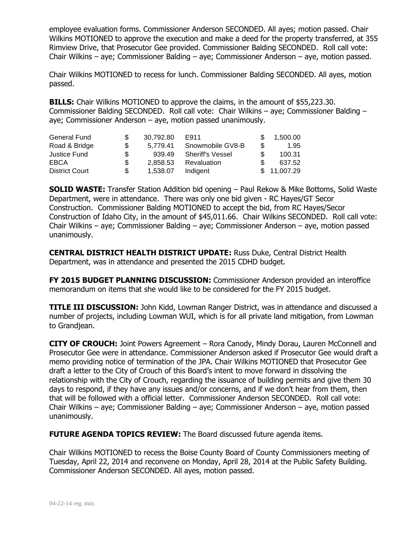employee evaluation forms. Commissioner Anderson SECONDED. All ayes; motion passed. Chair Wilkins MOTIONED to approve the execution and make a deed for the property transferred, at 355 Rimview Drive, that Prosecutor Gee provided. Commissioner Balding SECONDED. Roll call vote: Chair Wilkins – aye; Commissioner Balding – aye; Commissioner Anderson – aye, motion passed.

Chair Wilkins MOTIONED to recess for lunch. Commissioner Balding SECONDED. All ayes, motion passed.

**BILLS:** Chair Wilkins MOTIONED to approve the claims, in the amount of \$55,223.30. Commissioner Balding SECONDED. Roll call vote: Chair Wilkins – aye; Commissioner Balding – aye; Commissioner Anderson – aye, motion passed unanimously.

| General Fund          |     | 30.792.80 | E911                    |    | 1.500.00    |
|-----------------------|-----|-----------|-------------------------|----|-------------|
| Road & Bridge         | S   | 5.779.41  | Snowmobile GV8-B        | £. | 1.95        |
| Justice Fund          | \$. | 939.49    | <b>Sheriff's Vessel</b> |    | 100.31      |
| EBCA                  | \$  | 2.858.53  | Revaluation             | S. | 637.52      |
| <b>District Court</b> | S   | 1.538.07  | Indigent                |    | \$11,007.29 |

**SOLID WASTE:** Transfer Station Addition bid opening – Paul Rekow & Mike Bottoms, Solid Waste Department, were in attendance. There was only one bid given - RC Hayes/GT Secor Construction. Commissioner Balding MOTIONED to accept the bid, from RC Hayes/Secor Construction of Idaho City, in the amount of \$45,011.66. Chair Wilkins SECONDED. Roll call vote: Chair Wilkins – aye; Commissioner Balding – aye; Commissioner Anderson – aye, motion passed unanimously.

**CENTRAL DISTRICT HEALTH DISTRICT UPDATE:** Russ Duke, Central District Health Department, was in attendance and presented the 2015 CDHD budget.

**FY 2015 BUDGET PLANNING DISCUSSION:** Commissioner Anderson provided an interoffice memorandum on items that she would like to be considered for the FY 2015 budget.

**TITLE III DISCUSSION:** John Kidd, Lowman Ranger District, was in attendance and discussed a number of projects, including Lowman WUI, which is for all private land mitigation, from Lowman to Grandjean.

**CITY OF CROUCH:** Joint Powers Agreement – Rora Canody, Mindy Dorau, Lauren McConnell and Prosecutor Gee were in attendance. Commissioner Anderson asked if Prosecutor Gee would draft a memo providing notice of termination of the JPA. Chair Wilkins MOTIONED that Prosecutor Gee draft a letter to the City of Crouch of this Board's intent to move forward in dissolving the relationship with the City of Crouch, regarding the issuance of building permits and give them 30 days to respond, if they have any issues and/or concerns, and if we don't hear from them, then that will be followed with a official letter. Commissioner Anderson SECONDED. Roll call vote: Chair Wilkins – aye; Commissioner Balding – aye; Commissioner Anderson – aye, motion passed unanimously.

**FUTURE AGENDA TOPICS REVIEW:** The Board discussed future agenda items.

Chair Wilkins MOTIONED to recess the Boise County Board of County Commissioners meeting of Tuesday, April 22, 2014 and reconvene on Monday, April 28, 2014 at the Public Safety Building. Commissioner Anderson SECONDED. All ayes, motion passed.